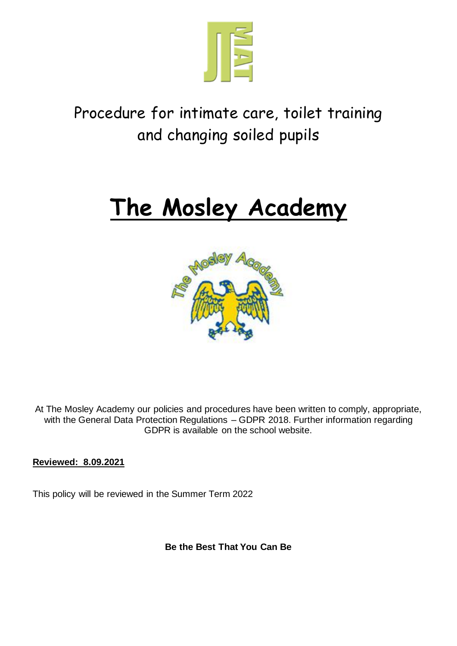

# Procedure for intimate care, toilet training and changing soiled pupils

# **The Mosley Academy**



At The Mosley Academy our policies and procedures have been written to comply, appropriate, with the General Data Protection Regulations - GDPR 2018. Further information regarding GDPR is available on the school website.

**Reviewed: 8.09.2021**

This policy will be reviewed in the Summer Term 2022

**Be the Best That You Can Be**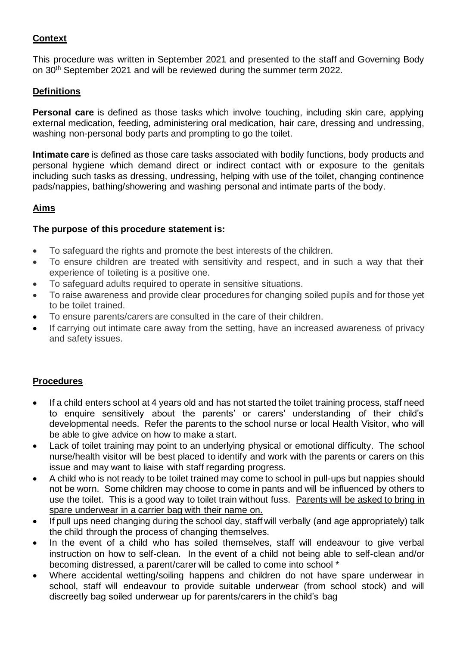# **Context**

This procedure was written in September 2021 and presented to the staff and Governing Body on 30th September 2021 and will be reviewed during the summer term 2022.

# **Definitions**

**Personal care** is defined as those tasks which involve touching, including skin care, applying external medication, feeding, administering oral medication, hair care, dressing and undressing, washing non-personal body parts and prompting to go the toilet.

**Intimate care** is defined as those care tasks associated with bodily functions, body products and personal hygiene which demand direct or indirect contact with or exposure to the genitals including such tasks as dressing, undressing, helping with use of the toilet, changing continence pads/nappies, bathing/showering and washing personal and intimate parts of the body.

# **Aims**

# **The purpose of this procedure statement is:**

- To safeguard the rights and promote the best interests of the children.
- To ensure children are treated with sensitivity and respect, and in such a way that their experience of toileting is a positive one.
- To safeguard adults required to operate in sensitive situations.
- To raise awareness and provide clear procedures for changing soiled pupils and for those yet to be toilet trained.
- To ensure parents/carers are consulted in the care of their children.
- If carrying out intimate care away from the setting, have an increased awareness of privacy and safety issues.

# **Procedures**

- If a child enters school at 4 years old and has not started the toilet training process, staff need to enquire sensitively about the parents' or carers' understanding of their child's developmental needs. Refer the parents to the school nurse or local Health Visitor, who will be able to give advice on how to make a start.
- Lack of toilet training may point to an underlying physical or emotional difficulty. The school nurse/health visitor will be best placed to identify and work with the parents or carers on this issue and may want to liaise with staff regarding progress.
- A child who is not ready to be toilet trained may come to school in pull-ups but nappies should not be worn. Some children may choose to come in pants and will be influenced by others to use the toilet. This is a good way to toilet train without fuss. Parents will be asked to bring in spare underwear in a carrier bag with their name on.
- If pull ups need changing during the school day, staff will verbally (and age appropriately) talk the child through the process of changing themselves.
- In the event of a child who has soiled themselves, staff will endeavour to give verbal instruction on how to self-clean. In the event of a child not being able to self-clean and/or becoming distressed, a parent/carer will be called to come into school \*
- Where accidental wetting/soiling happens and children do not have spare underwear in school, staff will endeavour to provide suitable underwear (from school stock) and will discreetly bag soiled underwear up for parents/carers in the child's bag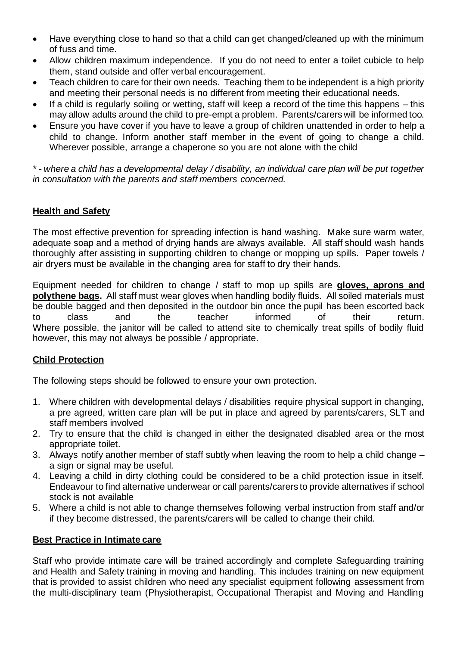- Have everything close to hand so that a child can get changed/cleaned up with the minimum of fuss and time.
- Allow children maximum independence. If you do not need to enter a toilet cubicle to help them, stand outside and offer verbal encouragement.
- Teach children to care for their own needs. Teaching them to be independent is a high priority and meeting their personal needs is no different from meeting their educational needs.
- If a child is regularly soiling or wetting, staff will keep a record of the time this happens this may allow adults around the child to pre-empt a problem. Parents/carers will be informed too.
- Ensure you have cover if you have to leave a group of children unattended in order to help a child to change. Inform another staff member in the event of going to change a child. Wherever possible, arrange a chaperone so you are not alone with the child

*\* - where a child has a developmental delay / disability, an individual care plan will be put together in consultation with the parents and staff members concerned.*

# **Health and Safety**

The most effective prevention for spreading infection is hand washing. Make sure warm water, adequate soap and a method of drying hands are always available. All staff should wash hands thoroughly after assisting in supporting children to change or mopping up spills. Paper towels / air dryers must be available in the changing area for staff to dry their hands.

Equipment needed for children to change / staff to mop up spills are **gloves, aprons and polythene bags.** All staff must wear gloves when handling bodily fluids. All soiled materials must be double bagged and then deposited in the outdoor bin once the pupil has been escorted back to class and the teacher informed of their return. Where possible, the janitor will be called to attend site to chemically treat spills of bodily fluid however, this may not always be possible / appropriate.

# **Child Protection**

The following steps should be followed to ensure your own protection.

- 1. Where children with developmental delays / disabilities require physical support in changing, a pre agreed, written care plan will be put in place and agreed by parents/carers, SLT and staff members involved
- 2. Try to ensure that the child is changed in either the designated disabled area or the most appropriate toilet.
- 3. Always notify another member of staff subtly when leaving the room to help a child change a sign or signal may be useful.
- 4. Leaving a child in dirty clothing could be considered to be a child protection issue in itself. Endeavour to find alternative underwear or call parents/carers to provide alternatives if school stock is not available
- 5. Where a child is not able to change themselves following verbal instruction from staff and/or if they become distressed, the parents/carers will be called to change their child.

#### **Best Practice in Intimate care**

Staff who provide intimate care will be trained accordingly and complete Safeguarding training and Health and Safety training in moving and handling. This includes training on new equipment that is provided to assist children who need any specialist equipment following assessment from the multi-disciplinary team (Physiotherapist, Occupational Therapist and Moving and Handling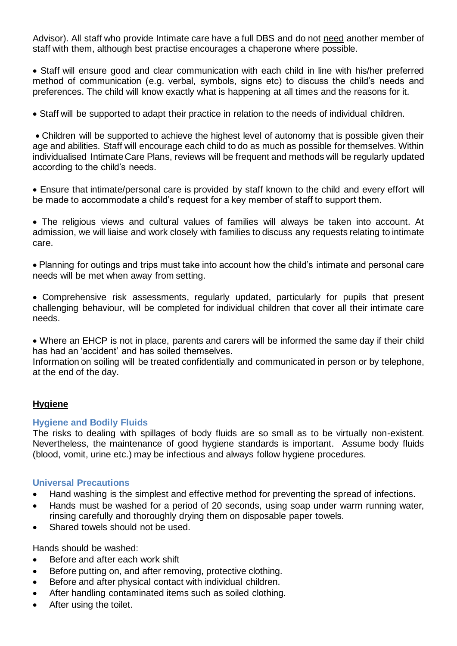Advisor). All staff who provide Intimate care have a full DBS and do not need another member of staff with them, although best practise encourages a chaperone where possible.

• Staff will ensure good and clear communication with each child in line with his/her preferred method of communication (e.g. verbal, symbols, signs etc) to discuss the child's needs and preferences. The child will know exactly what is happening at all times and the reasons for it.

• Staff will be supported to adapt their practice in relation to the needs of individual children.

• Children will be supported to achieve the highest level of autonomy that is possible given their age and abilities. Staff will encourage each child to do as much as possible for themselves. Within individualised Intimate Care Plans, reviews will be frequent and methods will be regularly updated according to the child's needs.

• Ensure that intimate/personal care is provided by staff known to the child and every effort will be made to accommodate a child's request for a key member of staff to support them.

• The religious views and cultural values of families will always be taken into account. At admission, we will liaise and work closely with families to discuss any requests relating to intimate care.

• Planning for outings and trips must take into account how the child's intimate and personal care needs will be met when away from setting.

• Comprehensive risk assessments, regularly updated, particularly for pupils that present challenging behaviour, will be completed for individual children that cover all their intimate care needs.

• Where an EHCP is not in place, parents and carers will be informed the same day if their child has had an 'accident' and has soiled themselves.

Information on soiling will be treated confidentially and communicated in person or by telephone, at the end of the day.

#### **Hygiene**

#### **Hygiene and Bodily Fluids**

The risks to dealing with spillages of body fluids are so small as to be virtually non-existent. Nevertheless, the maintenance of good hygiene standards is important. Assume body fluids (blood, vomit, urine etc.) may be infectious and always follow hygiene procedures.

#### **Universal Precautions**

- Hand washing is the simplest and effective method for preventing the spread of infections.
- Hands must be washed for a period of 20 seconds, using soap under warm running water, rinsing carefully and thoroughly drying them on disposable paper towels.
- Shared towels should not be used.

Hands should be washed:

- Before and after each work shift
- Before putting on, and after removing, protective clothing.
- Before and after physical contact with individual children.
- After handling contaminated items such as soiled clothing.
- After using the toilet.